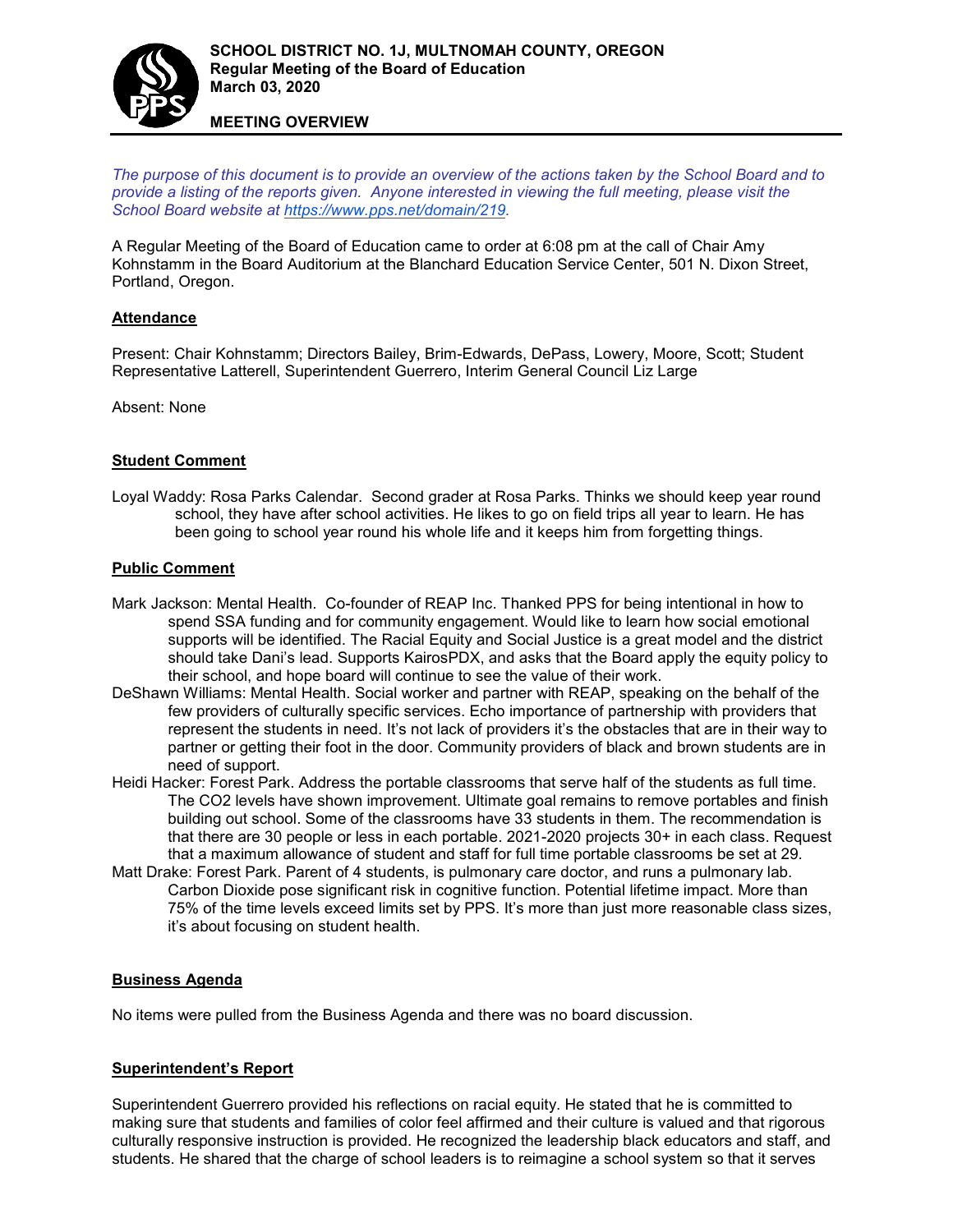

**MEETING OVERVIEW**

*The purpose of this document is to provide an overview of the actions taken by the School Board and to provide a listing of the reports given. Anyone interested in viewing the full meeting, please visit the School Board website at [https://www.pps.net/domain/219.](https://www.pps.net/domain/219)*

A Regular Meeting of the Board of Education came to order at 6:08 pm at the call of Chair Amy Kohnstamm in the Board Auditorium at the Blanchard Education Service Center, 501 N. Dixon Street, Portland, Oregon.

# **Attendance**

Present: Chair Kohnstamm; Directors Bailey, Brim-Edwards, DePass, Lowery, Moore, Scott; Student Representative Latterell, Superintendent Guerrero, Interim General Council Liz Large

Absent: None

# **Student Comment**

Loyal Waddy: Rosa Parks Calendar. Second grader at Rosa Parks. Thinks we should keep year round school, they have after school activities. He likes to go on field trips all year to learn. He has been going to school year round his whole life and it keeps him from forgetting things.

# **Public Comment**

- Mark Jackson: Mental Health. Co-founder of REAP Inc. Thanked PPS for being intentional in how to spend SSA funding and for community engagement. Would like to learn how social emotional supports will be identified. The Racial Equity and Social Justice is a great model and the district should take Dani's lead. Supports KairosPDX, and asks that the Board apply the equity policy to their school, and hope board will continue to see the value of their work.
- DeShawn Williams: Mental Health. Social worker and partner with REAP, speaking on the behalf of the few providers of culturally specific services. Echo importance of partnership with providers that represent the students in need. It's not lack of providers it's the obstacles that are in their way to partner or getting their foot in the door. Community providers of black and brown students are in need of support.
- Heidi Hacker: Forest Park. Address the portable classrooms that serve half of the students as full time. The CO2 levels have shown improvement. Ultimate goal remains to remove portables and finish building out school. Some of the classrooms have 33 students in them. The recommendation is that there are 30 people or less in each portable. 2021-2020 projects 30+ in each class. Request that a maximum allowance of student and staff for full time portable classrooms be set at 29.
- Matt Drake: Forest Park. Parent of 4 students, is pulmonary care doctor, and runs a pulmonary lab. Carbon Dioxide pose significant risk in cognitive function. Potential lifetime impact. More than 75% of the time levels exceed limits set by PPS. It's more than just more reasonable class sizes, it's about focusing on student health.

# **Business Agenda**

No items were pulled from the Business Agenda and there was no board discussion.

# **Superintendent's Report**

Superintendent Guerrero provided his reflections on racial equity. He stated that he is committed to making sure that students and families of color feel affirmed and their culture is valued and that rigorous culturally responsive instruction is provided. He recognized the leadership black educators and staff, and students. He shared that the charge of school leaders is to reimagine a school system so that it serves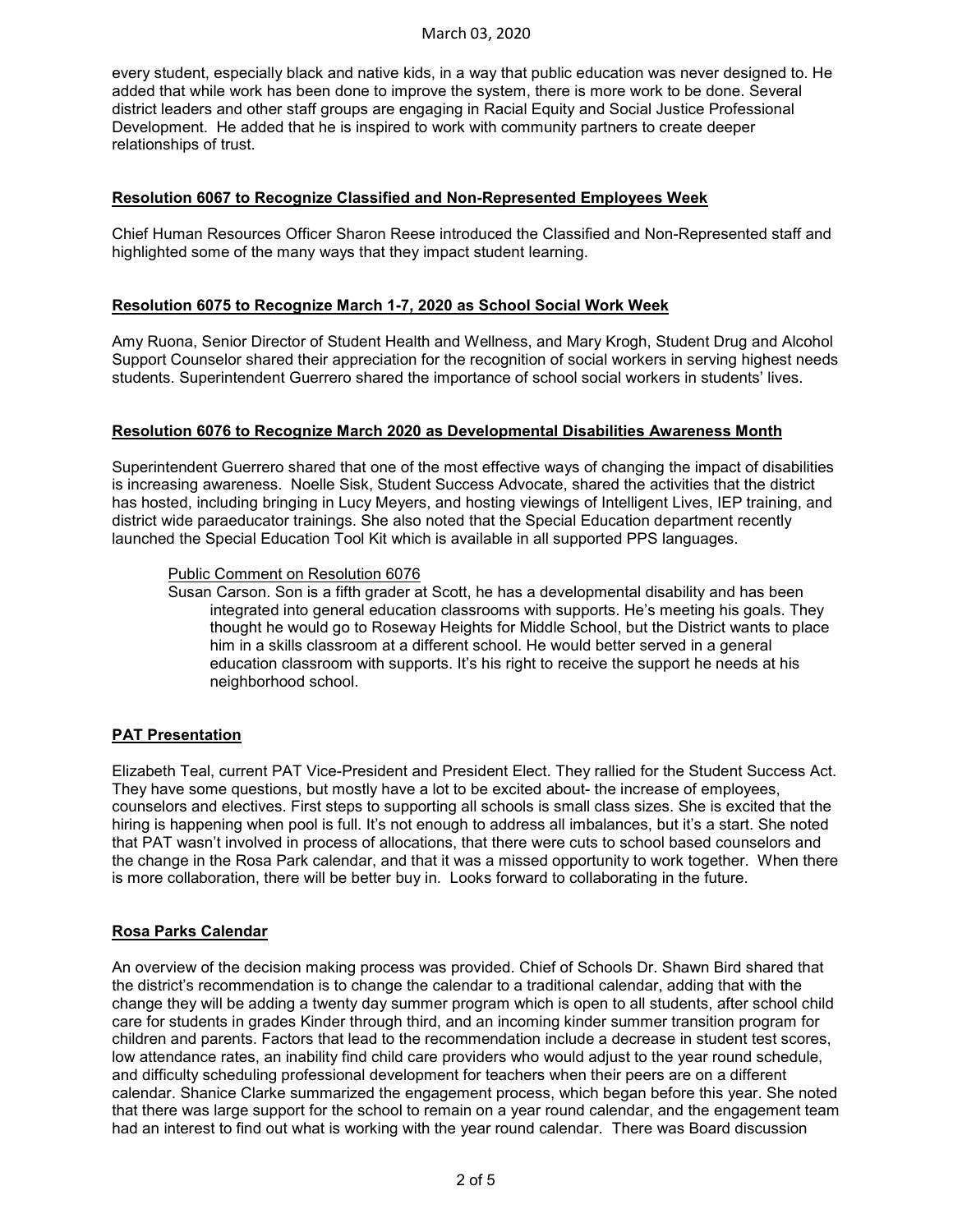## March 03, 2020

every student, especially black and native kids, in a way that public education was never designed to. He added that while work has been done to improve the system, there is more work to be done. Several district leaders and other staff groups are engaging in Racial Equity and Social Justice Professional Development. He added that he is inspired to work with community partners to create deeper relationships of trust.

# **Resolution 6067 to Recognize Classified and Non-Represented Employees Week**

Chief Human Resources Officer Sharon Reese introduced the Classified and Non-Represented staff and highlighted some of the many ways that they impact student learning.

# **Resolution 6075 to Recognize March 1-7, 2020 as School Social Work Week**

Amy Ruona, Senior Director of Student Health and Wellness, and Mary Krogh, Student Drug and Alcohol Support Counselor shared their appreciation for the recognition of social workers in serving highest needs students. Superintendent Guerrero shared the importance of school social workers in students' lives.

# **Resolution 6076 to Recognize March 2020 as Developmental Disabilities Awareness Month**

Superintendent Guerrero shared that one of the most effective ways of changing the impact of disabilities is increasing awareness. Noelle Sisk, Student Success Advocate, shared the activities that the district has hosted, including bringing in Lucy Meyers, and hosting viewings of Intelligent Lives, IEP training, and district wide paraeducator trainings. She also noted that the Special Education department recently launched the Special Education Tool Kit which is available in all supported PPS languages.

# Public Comment on Resolution 6076

Susan Carson. Son is a fifth grader at Scott, he has a developmental disability and has been integrated into general education classrooms with supports. He's meeting his goals. They thought he would go to Roseway Heights for Middle School, but the District wants to place him in a skills classroom at a different school. He would better served in a general education classroom with supports. It's his right to receive the support he needs at his neighborhood school.

# **PAT Presentation**

Elizabeth Teal, current PAT Vice-President and President Elect. They rallied for the Student Success Act. They have some questions, but mostly have a lot to be excited about- the increase of employees, counselors and electives. First steps to supporting all schools is small class sizes. She is excited that the hiring is happening when pool is full. It's not enough to address all imbalances, but it's a start. She noted that PAT wasn't involved in process of allocations, that there were cuts to school based counselors and the change in the Rosa Park calendar, and that it was a missed opportunity to work together. When there is more collaboration, there will be better buy in. Looks forward to collaborating in the future.

# **Rosa Parks Calendar**

An overview of the decision making process was provided. Chief of Schools Dr. Shawn Bird shared that the district's recommendation is to change the calendar to a traditional calendar, adding that with the change they will be adding a twenty day summer program which is open to all students, after school child care for students in grades Kinder through third, and an incoming kinder summer transition program for children and parents. Factors that lead to the recommendation include a decrease in student test scores, low attendance rates, an inability find child care providers who would adjust to the year round schedule, and difficulty scheduling professional development for teachers when their peers are on a different calendar. Shanice Clarke summarized the engagement process, which began before this year. She noted that there was large support for the school to remain on a year round calendar, and the engagement team had an interest to find out what is working with the year round calendar. There was Board discussion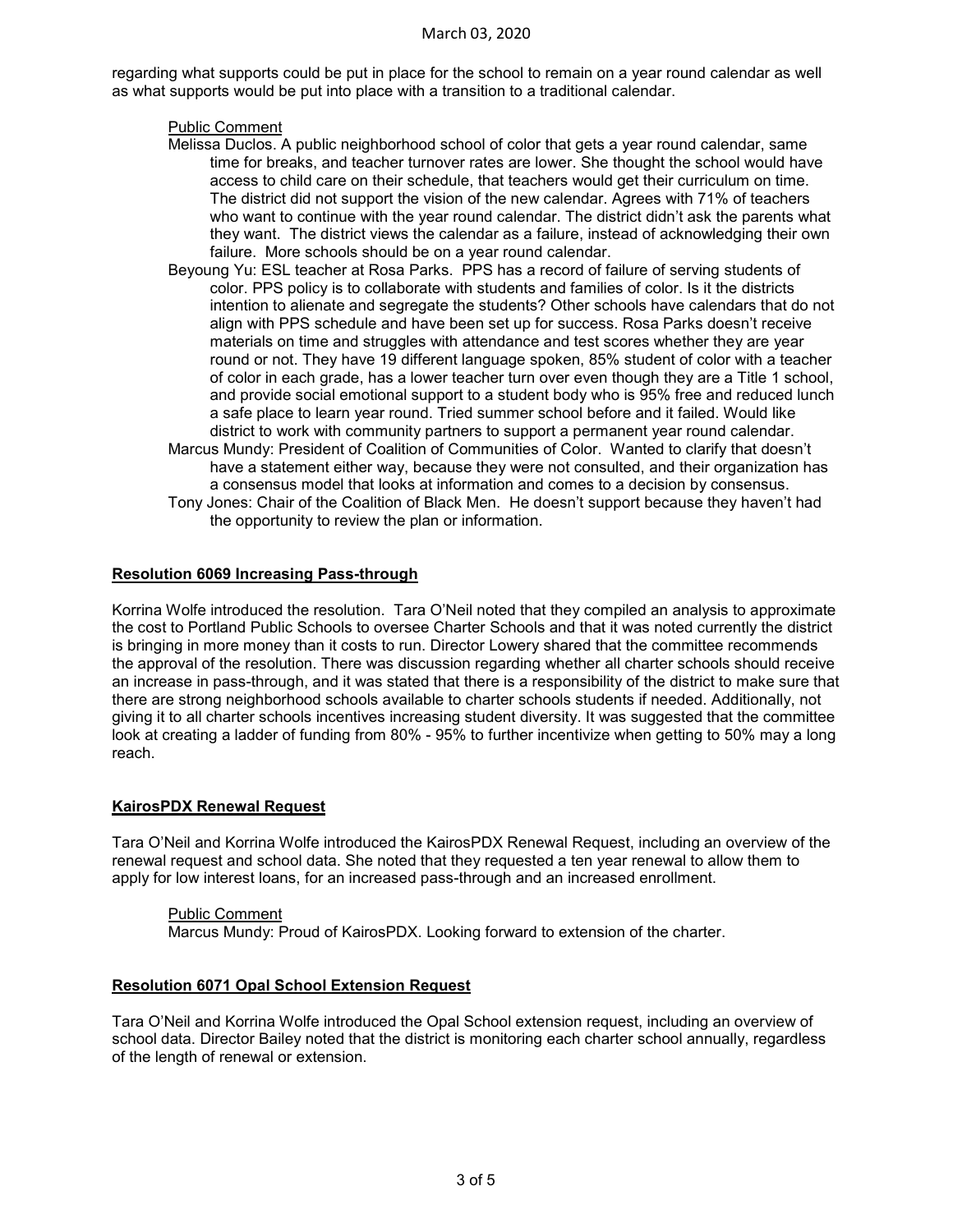#### March 03, 2020

regarding what supports could be put in place for the school to remain on a year round calendar as well as what supports would be put into place with a transition to a traditional calendar.

#### Public Comment

- Melissa Duclos. A public neighborhood school of color that gets a year round calendar, same time for breaks, and teacher turnover rates are lower. She thought the school would have access to child care on their schedule, that teachers would get their curriculum on time. The district did not support the vision of the new calendar. Agrees with 71% of teachers who want to continue with the year round calendar. The district didn't ask the parents what they want. The district views the calendar as a failure, instead of acknowledging their own failure. More schools should be on a year round calendar.
- Beyoung Yu: ESL teacher at Rosa Parks. PPS has a record of failure of serving students of color. PPS policy is to collaborate with students and families of color. Is it the districts intention to alienate and segregate the students? Other schools have calendars that do not align with PPS schedule and have been set up for success. Rosa Parks doesn't receive materials on time and struggles with attendance and test scores whether they are year round or not. They have 19 different language spoken, 85% student of color with a teacher of color in each grade, has a lower teacher turn over even though they are a Title 1 school, and provide social emotional support to a student body who is 95% free and reduced lunch a safe place to learn year round. Tried summer school before and it failed. Would like district to work with community partners to support a permanent year round calendar.
- Marcus Mundy: President of Coalition of Communities of Color. Wanted to clarify that doesn't have a statement either way, because they were not consulted, and their organization has a consensus model that looks at information and comes to a decision by consensus.
- Tony Jones: Chair of the Coalition of Black Men. He doesn't support because they haven't had the opportunity to review the plan or information.

#### **Resolution 6069 Increasing Pass-through**

Korrina Wolfe introduced the resolution. Tara O'Neil noted that they compiled an analysis to approximate the cost to Portland Public Schools to oversee Charter Schools and that it was noted currently the district is bringing in more money than it costs to run. Director Lowery shared that the committee recommends the approval of the resolution. There was discussion regarding whether all charter schools should receive an increase in pass-through, and it was stated that there is a responsibility of the district to make sure that there are strong neighborhood schools available to charter schools students if needed. Additionally, not giving it to all charter schools incentives increasing student diversity. It was suggested that the committee look at creating a ladder of funding from 80% - 95% to further incentivize when getting to 50% may a long reach.

# **KairosPDX Renewal Request**

Tara O'Neil and Korrina Wolfe introduced the KairosPDX Renewal Request, including an overview of the renewal request and school data. She noted that they requested a ten year renewal to allow them to apply for low interest loans, for an increased pass-through and an increased enrollment.

Public Comment Marcus Mundy: Proud of KairosPDX. Looking forward to extension of the charter.

# **Resolution 6071 Opal School Extension Request**

Tara O'Neil and Korrina Wolfe introduced the Opal School extension request, including an overview of school data. Director Bailey noted that the district is monitoring each charter school annually, regardless of the length of renewal or extension.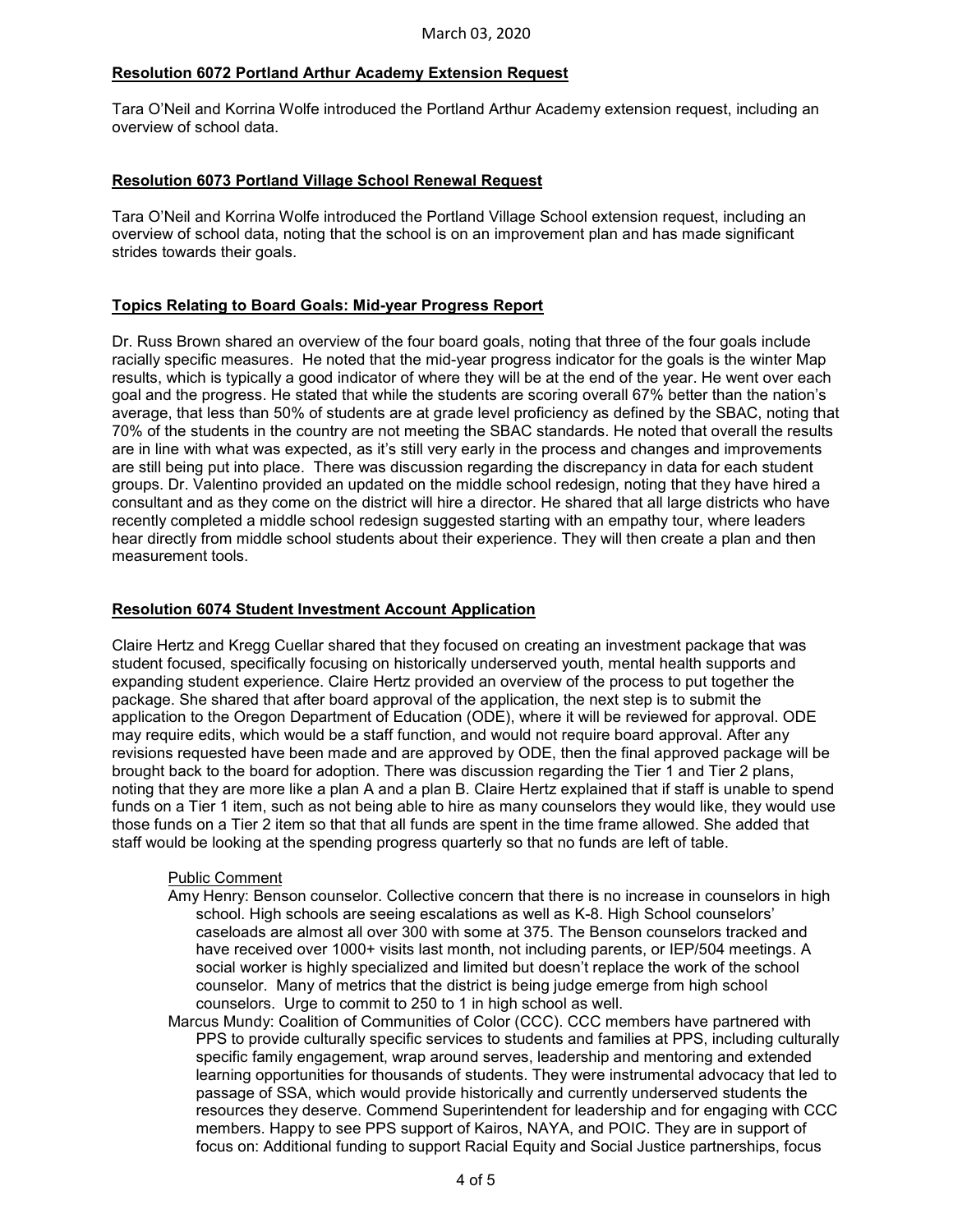# **Resolution 6072 Portland Arthur Academy Extension Request**

Tara O'Neil and Korrina Wolfe introduced the Portland Arthur Academy extension request, including an overview of school data.

# **Resolution 6073 Portland Village School Renewal Request**

Tara O'Neil and Korrina Wolfe introduced the Portland Village School extension request, including an overview of school data, noting that the school is on an improvement plan and has made significant strides towards their goals.

# **Topics Relating to Board Goals: Mid-year Progress Report**

Dr. Russ Brown shared an overview of the four board goals, noting that three of the four goals include racially specific measures. He noted that the mid-year progress indicator for the goals is the winter Map results, which is typically a good indicator of where they will be at the end of the year. He went over each goal and the progress. He stated that while the students are scoring overall 67% better than the nation's average, that less than 50% of students are at grade level proficiency as defined by the SBAC, noting that 70% of the students in the country are not meeting the SBAC standards. He noted that overall the results are in line with what was expected, as it's still very early in the process and changes and improvements are still being put into place. There was discussion regarding the discrepancy in data for each student groups. Dr. Valentino provided an updated on the middle school redesign, noting that they have hired a consultant and as they come on the district will hire a director. He shared that all large districts who have recently completed a middle school redesign suggested starting with an empathy tour, where leaders hear directly from middle school students about their experience. They will then create a plan and then measurement tools.

# **Resolution 6074 Student Investment Account Application**

Claire Hertz and Kregg Cuellar shared that they focused on creating an investment package that was student focused, specifically focusing on historically underserved youth, mental health supports and expanding student experience. Claire Hertz provided an overview of the process to put together the package. She shared that after board approval of the application, the next step is to submit the application to the Oregon Department of Education (ODE), where it will be reviewed for approval. ODE may require edits, which would be a staff function, and would not require board approval. After any revisions requested have been made and are approved by ODE, then the final approved package will be brought back to the board for adoption. There was discussion regarding the Tier 1 and Tier 2 plans, noting that they are more like a plan A and a plan B. Claire Hertz explained that if staff is unable to spend funds on a Tier 1 item, such as not being able to hire as many counselors they would like, they would use those funds on a Tier 2 item so that that all funds are spent in the time frame allowed. She added that staff would be looking at the spending progress quarterly so that no funds are left of table.

# Public Comment

- Amy Henry: Benson counselor. Collective concern that there is no increase in counselors in high school. High schools are seeing escalations as well as K-8. High School counselors' caseloads are almost all over 300 with some at 375. The Benson counselors tracked and have received over 1000+ visits last month, not including parents, or IEP/504 meetings. A social worker is highly specialized and limited but doesn't replace the work of the school counselor. Many of metrics that the district is being judge emerge from high school counselors. Urge to commit to 250 to 1 in high school as well.
- Marcus Mundy: Coalition of Communities of Color (CCC). CCC members have partnered with PPS to provide culturally specific services to students and families at PPS, including culturally specific family engagement, wrap around serves, leadership and mentoring and extended learning opportunities for thousands of students. They were instrumental advocacy that led to passage of SSA, which would provide historically and currently underserved students the resources they deserve. Commend Superintendent for leadership and for engaging with CCC members. Happy to see PPS support of Kairos, NAYA, and POIC. They are in support of focus on: Additional funding to support Racial Equity and Social Justice partnerships, focus